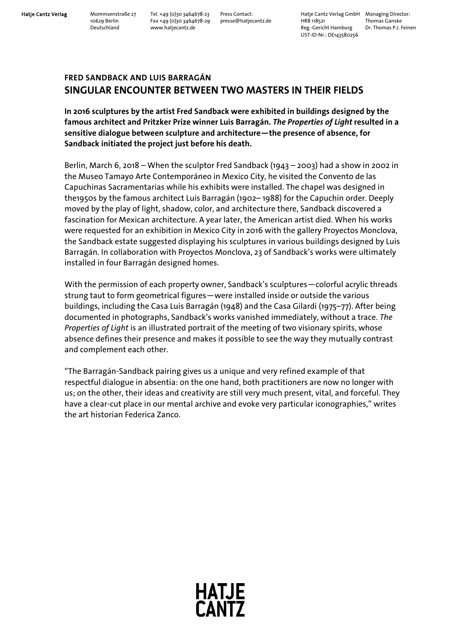**Hatje Cantz Verlag** Mommsenstraße 27 Tel. +49 (0)30 3464678-23 Press Contact: Hatje Cantz Verlag GmbH Managing Director: 10629 Berlin Fax +49 (0)30 3464678-29 presse@hatjecantz.de HRB 118521 Thomas Ganske Deutschland www.hatjecantz.de Reg.-Gericht Hamburg Dr. Thomas P.J. Feinen UST-ID-Nr.: DE143580256

## **FRED SANDBACK AND LUIS BARRAGÁN SINGULAR ENCOUNTER BETWEEN TWO MASTERS IN THEIR FIELDS**

**In 2016 sculptures by the artist Fred Sandback were exhibited in buildings designed by the famous architect and Pritzker Prize winner Luis Barragán.** *The Properties of Light* **resulted in a sensitive dialogue between sculpture and architecture—the presence of absence, for Sandback initiated the project just before his death.**

Berlin, March 6, 2018 – When the sculptor Fred Sandback (1943 – 2003) had a show in 2002 in the Museo Tamayo Arte Contemporáneo in Mexico City, he visited the Convento de las Capuchinas Sacramentarias while his exhibits were installed. The chapel was designed in the1950s by the famous architect Luis Barragán (1902– 1988) for the Capuchin order. Deeply moved by the play of light, shadow, color, and architecture there, Sandback discovered a fascination for Mexican architecture. A year later, the American artist died. When his works were requested for an exhibition in Mexico City in 2016 with the gallery Proyectos Monclova, the Sandback estate suggested displaying his sculptures in various buildings designed by Luis Barragán. In collaboration with Proyectos Monclova, 23 of Sandback's works were ultimately installed in four Barragán designed homes.

With the permission of each property owner, Sandback's sculptures—colorful acrylic threads strung taut to form geometrical figures—were installed inside or outside the various buildings, including the Casa Luis Barragán (1948) and the Casa Gilardi (1975–77). After being documented in photographs, Sandback's works vanished immediately, without a trace. *The Properties of Light* is an illustrated portrait of the meeting of two visionary spirits, whose absence defines their presence and makes it possible to see the way they mutually contrast and complement each other.

"The Barragán-Sandback pairing gives us a unique and very refined example of that respectful dialogue in absentia: on the one hand, both practitioners are now no longer with us; on the other, their ideas and creativity are still very much present, vital, and forceful. They have a clear-cut place in our mental archive and evoke very particular iconographies," writes the art historian Federica Zanco.